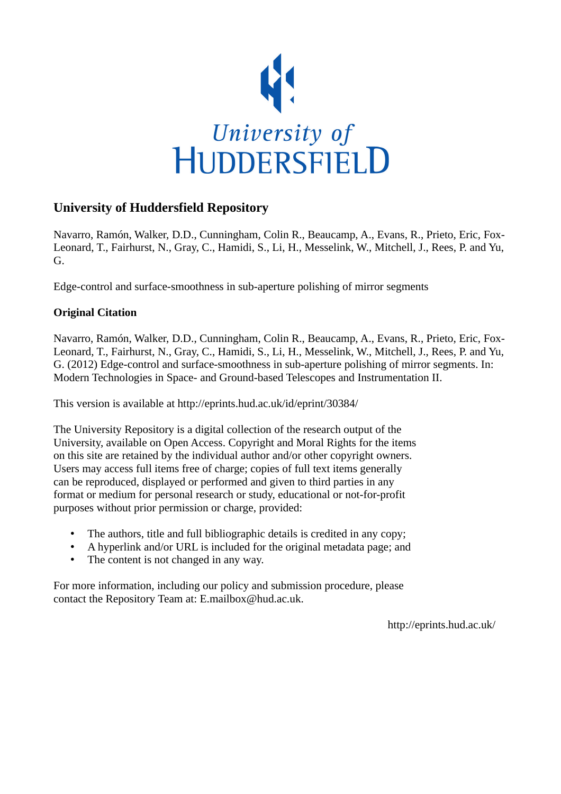

## **University of Huddersfield Repository**

Navarro, Ramón, Walker, D.D., Cunningham, Colin R., Beaucamp, A., Evans, R., Prieto, Eric, Fox-Leonard, T., Fairhurst, N., Gray, C., Hamidi, S., Li, H., Messelink, W., Mitchell, J., Rees, P. and Yu, G.

Edge-control and surface-smoothness in sub-aperture polishing of mirror segments

### **Original Citation**

Navarro, Ramón, Walker, D.D., Cunningham, Colin R., Beaucamp, A., Evans, R., Prieto, Eric, Fox-Leonard, T., Fairhurst, N., Gray, C., Hamidi, S., Li, H., Messelink, W., Mitchell, J., Rees, P. and Yu, G. (2012) Edge-control and surface-smoothness in sub-aperture polishing of mirror segments. In: Modern Technologies in Space- and Ground-based Telescopes and Instrumentation II.

This version is available at http://eprints.hud.ac.uk/id/eprint/30384/

The University Repository is a digital collection of the research output of the University, available on Open Access. Copyright and Moral Rights for the items on this site are retained by the individual author and/or other copyright owners. Users may access full items free of charge; copies of full text items generally can be reproduced, displayed or performed and given to third parties in any format or medium for personal research or study, educational or not-for-profit purposes without prior permission or charge, provided:

- The authors, title and full bibliographic details is credited in any copy;
- A hyperlink and/or URL is included for the original metadata page; and
- The content is not changed in any way.

For more information, including our policy and submission procedure, please contact the Repository Team at: E.mailbox@hud.ac.uk.

http://eprints.hud.ac.uk/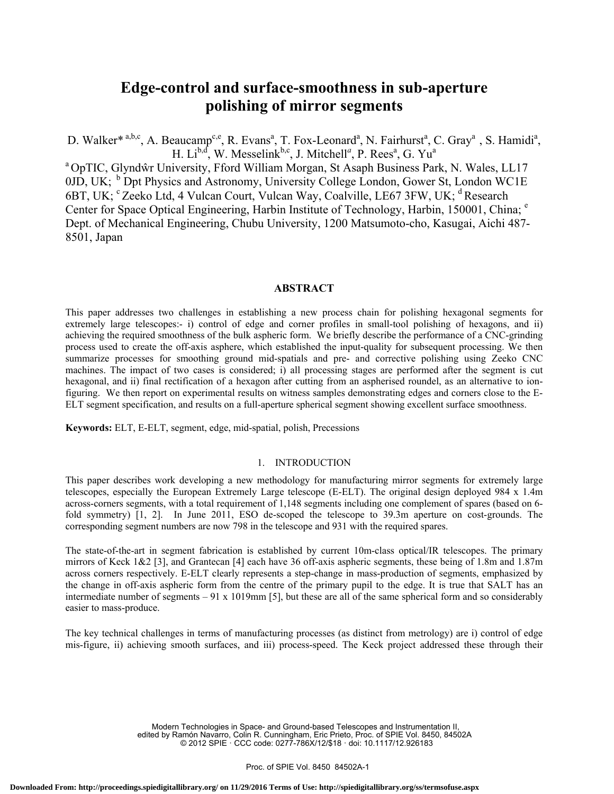# **Edge-control and surface-smoothness in sub-aperture polishing of mirror segments**

D. Walker<sup>\* a,b,c</sup>, A. Beaucamp<sup>c,e</sup>, R. Evans<sup>a</sup>, T. Fox-Leonard<sup>a</sup>, N. Fairhurst<sup>a</sup>, C. Gray<sup>a</sup>, S. Hamidi<sup>a</sup>, H. Li<sup>b,d</sup>, W. Messelink<sup>b,c</sup>, J. Mitchell<sup>*a*</sup>, P. Rees<sup>a</sup>, G. Yu<sup>a</sup>

a OpTIC, Glyndŵr University, Fford William Morgan, St Asaph Business Park, N. Wales, LL17 0JD, UK;  $<sup>b</sup>$  Dpt Physics and Astronomy, University College London, Gower St, London WC1E</sup> 6BT, UK; <sup>c</sup> Zeeko Ltd, 4 Vulcan Court, Vulcan Way, Coalville, LE67 3FW, UK; <sup>d</sup> Research Center for Space Optical Engineering, Harbin Institute of Technology, Harbin, 150001, China; <sup>e</sup> Dept. of Mechanical Engineering, Chubu University, 1200 Matsumoto-cho, Kasugai, Aichi 487- 8501, Japan

#### **ABSTRACT**

This paper addresses two challenges in establishing a new process chain for polishing hexagonal segments for extremely large telescopes:- i) control of edge and corner profiles in small-tool polishing of hexagons, and ii) achieving the required smoothness of the bulk aspheric form. We briefly describe the performance of a CNC-grinding process used to create the off-axis asphere, which established the input-quality for subsequent processing. We then summarize processes for smoothing ground mid-spatials and pre- and corrective polishing using Zeeko CNC machines. The impact of two cases is considered; i) all processing stages are performed after the segment is cut hexagonal, and ii) final rectification of a hexagon after cutting from an aspherised roundel, as an alternative to ionfiguring. We then report on experimental results on witness samples demonstrating edges and corners close to the E-ELT segment specification, and results on a full-aperture spherical segment showing excellent surface smoothness.

**Keywords:** ELT, E-ELT, segment, edge, mid-spatial, polish, Precessions

#### 1. INTRODUCTION

This paper describes work developing a new methodology for manufacturing mirror segments for extremely large telescopes, especially the European Extremely Large telescope (E-ELT). The original design deployed 984 x 1.4m across-corners segments, with a total requirement of 1,148 segments including one complement of spares (based on 6 fold symmetry) [1, 2]. In June 2011, ESO de-scoped the telescope to 39.3m aperture on cost-grounds. The corresponding segment numbers are now 798 in the telescope and 931 with the required spares.

The state-of-the-art in segment fabrication is established by current 10m-class optical/IR telescopes. The primary mirrors of Keck 1&2 [3], and Grantecan [4] each have 36 off-axis aspheric segments, these being of 1.8m and 1.87m across corners respectively. E-ELT clearly represents a step-change in mass-production of segments, emphasized by the change in off-axis aspheric form from the centre of the primary pupil to the edge. It is true that SALT has an intermediate number of segments  $-91 \times 1019$  mm [5], but these are all of the same spherical form and so considerably easier to mass-produce.

The key technical challenges in terms of manufacturing processes (as distinct from metrology) are i) control of edge mis-figure, ii) achieving smooth surfaces, and iii) process-speed. The Keck project addressed these through their

> Modern Technologies in Space- and Ground-based Telescopes and Instrumentation II, edited by Ramón Navarro, Colin R. Cunningham, Eric Prieto, Proc. of SPIE Vol. 8450, 84502A © 2012 SPIE · CCC code: 0277-786X/12/\$18 · doi: 10.1117/12.926183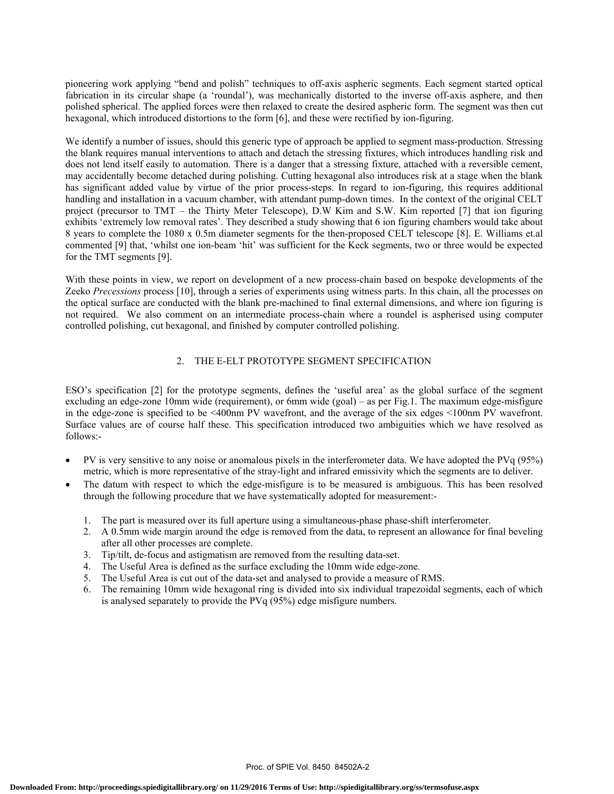pioneering work applying "bend and polish" techniques to off-axis aspheric segments. Each segment started optical fabrication in its circular shape (a 'roundal'), was mechanically distorted to the inverse off-axis asphere, and then polished spherical. The applied forces were then relaxed to create the desired aspheric form. The segment was then cut hexagonal, which introduced distortions to the form [6], and these were rectified by ion-figuring.

We identify a number of issues, should this generic type of approach be applied to segment mass-production. Stressing the blank requires manual interventions to attach and detach the stressing fixtures, which introduces handling risk and does not lend itself easily to automation. There is a danger that a stressing fixture, attached with a reversible cement, may accidentally become detached during polishing. Cutting hexagonal also introduces risk at a stage when the blank has significant added value by virtue of the prior process-steps. In regard to ion-figuring, this requires additional handling and installation in a vacuum chamber, with attendant pump-down times. In the context of the original CELT project (precursor to TMT – the Thirty Meter Telescope), D.W Kim and S.W. Kim reported [7] that ion figuring exhibits 'extremely low removal rates'. They described a study showing that 6 ion figuring chambers would take about 8 years to complete the 1080 x 0.5m diameter segments for the then-proposed CELT telescope [8]. E. Williams et.al commented [9] that, 'whilst one ion-beam 'hit' was sufficient for the Keck segments, two or three would be expected for the TMT segments [9].

With these points in view, we report on development of a new process-chain based on bespoke developments of the Zeeko *Precessions* process [10], through a series of experiments using witness parts. In this chain, all the processes on the optical surface are conducted with the blank pre-machined to final external dimensions, and where ion figuring is not required. We also comment on an intermediate process-chain where a roundel is aspherised using computer controlled polishing, cut hexagonal, and finished by computer controlled polishing.

#### 2. THE E-ELT PROTOTYPE SEGMENT SPECIFICATION

ESO's specification [2] for the prototype segments, defines the 'useful area' as the global surface of the segment excluding an edge-zone 10mm wide (requirement), or 6mm wide (goal) – as per Fig.1. The maximum edge-misfigure in the edge-zone is specified to be <400nm PV wavefront, and the average of the six edges <100nm PV wavefront. Surface values are of course half these. This specification introduced two ambiguities which we have resolved as follows:-

- PV is very sensitive to any noise or anomalous pixels in the interferometer data. We have adopted the PVq (95%) metric, which is more representative of the stray-light and infrared emissivity which the segments are to deliver.
- The datum with respect to which the edge-misfigure is to be measured is ambiguous. This has been resolved through the following procedure that we have systematically adopted for measurement:-
	- 1. The part is measured over its full aperture using a simultaneous-phase phase-shift interferometer.
	- 2. A 0.5mm wide margin around the edge is removed from the data, to represent an allowance for final beveling after all other processes are complete.
	- 3. Tip/tilt, de-focus and astigmatism are removed from the resulting data-set.
	- 4. The Useful Area is defined as the surface excluding the 10mm wide edge-zone.
	- 5. The Useful Area is cut out of the data-set and analysed to provide a measure of RMS.
	- 6. The remaining 10mm wide hexagonal ring is divided into six individual trapezoidal segments, each of which is analysed separately to provide the PVq (95%) edge misfigure numbers.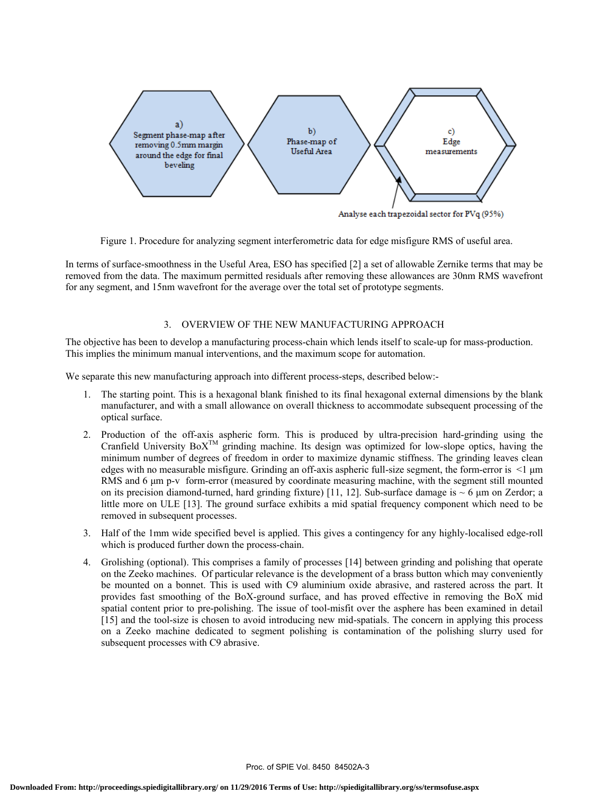

Figure 1. Procedure for analyzing segment interferometric data for edge misfigure RMS of useful area.

In terms of surface-smoothness in the Useful Area, ESO has specified [2] a set of allowable Zernike terms that may be removed from the data. The maximum permitted residuals after removing these allowances are 30nm RMS wavefront for any segment, and 15nm wavefront for the average over the total set of prototype segments.

#### 3. OVERVIEW OF THE NEW MANUFACTURING APPROACH

The objective has been to develop a manufacturing process-chain which lends itself to scale-up for mass-production. This implies the minimum manual interventions, and the maximum scope for automation.

We separate this new manufacturing approach into different process-steps, described below:-

- 1. The starting point. This is a hexagonal blank finished to its final hexagonal external dimensions by the blank manufacturer, and with a small allowance on overall thickness to accommodate subsequent processing of the optical surface.
- 2. Production of the off-axis aspheric form. This is produced by ultra-precision hard-grinding using the Cranfield University  $BoX^{TM}$  grinding machine. Its design was optimized for low-slope optics, having the minimum number of degrees of freedom in order to maximize dynamic stiffness. The grinding leaves clean edges with no measurable misfigure. Grinding an off-axis aspheric full-size segment, the form-error is <1 μm RMS and 6 μm p-v form-error (measured by coordinate measuring machine, with the segment still mounted on its precision diamond-turned, hard grinding fixture) [11, 12]. Sub-surface damage is  $\sim$  6 µm on Zerdor; a little more on ULE [13]. The ground surface exhibits a mid spatial frequency component which need to be removed in subsequent processes.
- 3. Half of the 1mm wide specified bevel is applied. This gives a contingency for any highly-localised edge-roll which is produced further down the process-chain.
- 4. Grolishing (optional). This comprises a family of processes [14] between grinding and polishing that operate on the Zeeko machines. Of particular relevance is the development of a brass button which may conveniently be mounted on a bonnet. This is used with C9 aluminium oxide abrasive, and rastered across the part. It provides fast smoothing of the BoX-ground surface, and has proved effective in removing the BoX mid spatial content prior to pre-polishing. The issue of tool-misfit over the asphere has been examined in detail [15] and the tool-size is chosen to avoid introducing new mid-spatials. The concern in applying this process on a Zeeko machine dedicated to segment polishing is contamination of the polishing slurry used for subsequent processes with C9 abrasive.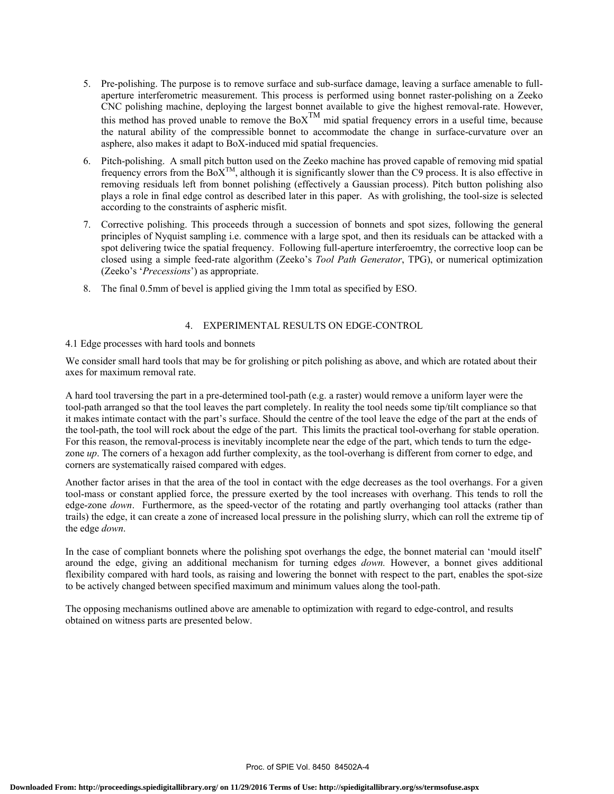- 5. Pre-polishing. The purpose is to remove surface and sub-surface damage, leaving a surface amenable to fullaperture interferometric measurement. This process is performed using bonnet raster-polishing on a Zeeko CNC polishing machine, deploying the largest bonnet available to give the highest removal-rate. However, this method has proved unable to remove the  $Box^{TM}$  mid spatial frequency errors in a useful time, because the natural ability of the compressible bonnet to accommodate the change in surface-curvature over an asphere, also makes it adapt to BoX-induced mid spatial frequencies.
- 6. Pitch-polishing. A small pitch button used on the Zeeko machine has proved capable of removing mid spatial frequency errors from the BoXTM, although it is significantly slower than the C9 process. It is also effective in removing residuals left from bonnet polishing (effectively a Gaussian process). Pitch button polishing also plays a role in final edge control as described later in this paper. As with grolishing, the tool-size is selected according to the constraints of aspheric misfit.
- 7. Corrective polishing. This proceeds through a succession of bonnets and spot sizes, following the general principles of Nyquist sampling i.e. commence with a large spot, and then its residuals can be attacked with a spot delivering twice the spatial frequency. Following full-aperture interferoemtry, the corrective loop can be closed using a simple feed-rate algorithm (Zeeko's *Tool Path Generator*, TPG), or numerical optimization (Zeeko's '*Precessions*') as appropriate.
- 8. The final 0.5mm of bevel is applied giving the 1mm total as specified by ESO.

#### 4. EXPERIMENTAL RESULTS ON EDGE-CONTROL

#### 4.1 Edge processes with hard tools and bonnets

We consider small hard tools that may be for grolishing or pitch polishing as above, and which are rotated about their axes for maximum removal rate.

A hard tool traversing the part in a pre-determined tool-path (e.g. a raster) would remove a uniform layer were the tool-path arranged so that the tool leaves the part completely. In reality the tool needs some tip/tilt compliance so that it makes intimate contact with the part's surface. Should the centre of the tool leave the edge of the part at the ends of the tool-path, the tool will rock about the edge of the part. This limits the practical tool-overhang for stable operation. For this reason, the removal-process is inevitably incomplete near the edge of the part, which tends to turn the edgezone *up*. The corners of a hexagon add further complexity, as the tool-overhang is different from corner to edge, and corners are systematically raised compared with edges.

Another factor arises in that the area of the tool in contact with the edge decreases as the tool overhangs. For a given tool-mass or constant applied force, the pressure exerted by the tool increases with overhang. This tends to roll the edge-zone *down*. Furthermore, as the speed-vector of the rotating and partly overhanging tool attacks (rather than trails) the edge, it can create a zone of increased local pressure in the polishing slurry, which can roll the extreme tip of the edge *down*.

In the case of compliant bonnets where the polishing spot overhangs the edge, the bonnet material can 'mould itself' around the edge, giving an additional mechanism for turning edges *down.* However, a bonnet gives additional flexibility compared with hard tools, as raising and lowering the bonnet with respect to the part, enables the spot-size to be actively changed between specified maximum and minimum values along the tool-path.

The opposing mechanisms outlined above are amenable to optimization with regard to edge-control, and results obtained on witness parts are presented below.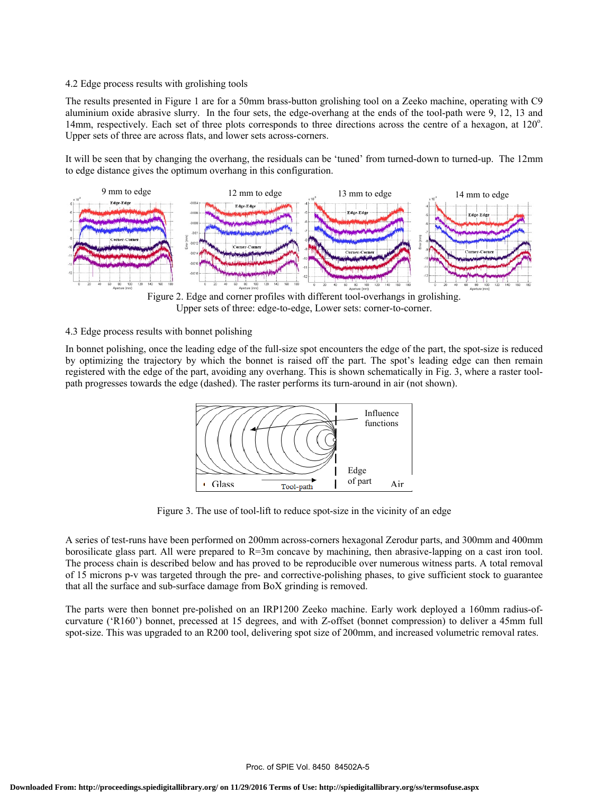#### 4.2 Edge process results with grolishing tools

The results presented in Figure 1 are for a 50mm brass-button grolishing tool on a Zeeko machine, operating with C9 aluminium oxide abrasive slurry. In the four sets, the edge-overhang at the ends of the tool-path were 9, 12, 13 and 14mm, respectively. Each set of three plots corresponds to three directions across the centre of a hexagon, at 120°. Upper sets of three are across flats, and lower sets across-corners.

It will be seen that by changing the overhang, the residuals can be 'tuned' from turned-down to turned-up. The 12mm to edge distance gives the optimum overhang in this configuration.



Figure 2. Edge and corner profiles with different tool-overhangs in grolishing. Upper sets of three: edge-to-edge, Lower sets: corner-to-corner.

#### 4.3 Edge process results with bonnet polishing

In bonnet polishing, once the leading edge of the full-size spot encounters the edge of the part, the spot-size is reduced by optimizing the trajectory by which the bonnet is raised off the part. The spot's leading edge can then remain registered with the edge of the part, avoiding any overhang. This is shown schematically in Fig. 3, where a raster toolpath progresses towards the edge (dashed). The raster performs its turn-around in air (not shown).



Figure 3. The use of tool-lift to reduce spot-size in the vicinity of an edge

A series of test-runs have been performed on 200mm across-corners hexagonal Zerodur parts, and 300mm and 400mm borosilicate glass part. All were prepared to R=3m concave by machining, then abrasive-lapping on a cast iron tool. The process chain is described below and has proved to be reproducible over numerous witness parts. A total removal of 15 microns p-v was targeted through the pre- and corrective-polishing phases, to give sufficient stock to guarantee that all the surface and sub-surface damage from BoX grinding is removed.

The parts were then bonnet pre-polished on an IRP1200 Zeeko machine. Early work deployed a 160mm radius-ofcurvature ('R160') bonnet, precessed at 15 degrees, and with Z-offset (bonnet compression) to deliver a 45mm full spot-size. This was upgraded to an R200 tool, delivering spot size of 200mm, and increased volumetric removal rates.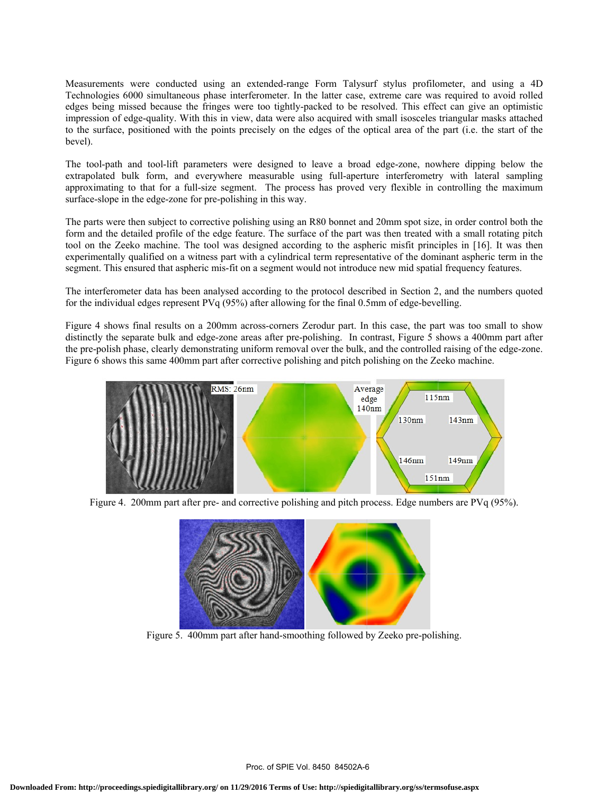Measurements were conducted using an extended-range Form Talysurf stylus profilometer, and using a 4D Technologies 6000 simultaneous phase interferometer. In the latter case, extreme care was required to avoid rolled edges being missed because the fringes were too tightly-packed to be resolved. This effect can give an optimistic impression of edge-quality. With this in view, data were also acquired with small isosceles triangular masks attached to the surface, positioned with the points precisely on the edges of the optical area of the part (i.e. the start of the bevel).

The tool-path and tool-lift parameters were designed to leave a broad edge-zone, nowhere dipping below the extrapolated bulk form, and everywhere measurable using full-aperture interferometry with lateral sampling approximating to that for a full-size segment. The process has proved very flexible in controlling the maximum surface-slope in the edge-zone for pre-polishing in this way.

The parts were then subject to corrective polishing using an R80 bonnet and 20mm spot size, in order control both the form and the detailed profile of the edge feature. The surface of the part was then treated with a small rotating pitch tool on the Zeeko machine. The tool was designed according to the aspheric misfit principles in [16]. It was then experimentally qualified on a witness part with a cylindrical term representative of the dominant aspheric term in the segment. This ensured that aspheric mis-fit on a segment would not introduce new mid spatial frequency features.

The interferometer data has been analysed according to the protocol described in Section 2, and the numbers quoted for the individual edges represent PVq (95%) after allowing for the final 0.5mm of edge-bevelling.

Figure 4 shows final results on a 200mm across-corners Zerodur part. In this case, the part was too small to show distinctly the separate bulk and edge-zone areas after pre-polishing. In contrast, Figure 5 shows a 400mm part after the pre-polish phase, clearly demonstrating uniform removal over the bulk, and the controlled raising of the edge-zone. Figure 6 shows this same 400mm part after corrective polishing and pitch polishing on the Zeeko machine.



Figure 4. 200mm part after pre- and corrective polishing and pitch process. Edge numbers are PVq (95%).



Figure 5. 400mm part after hand-smoothing followed by Zeeko pre-polishing.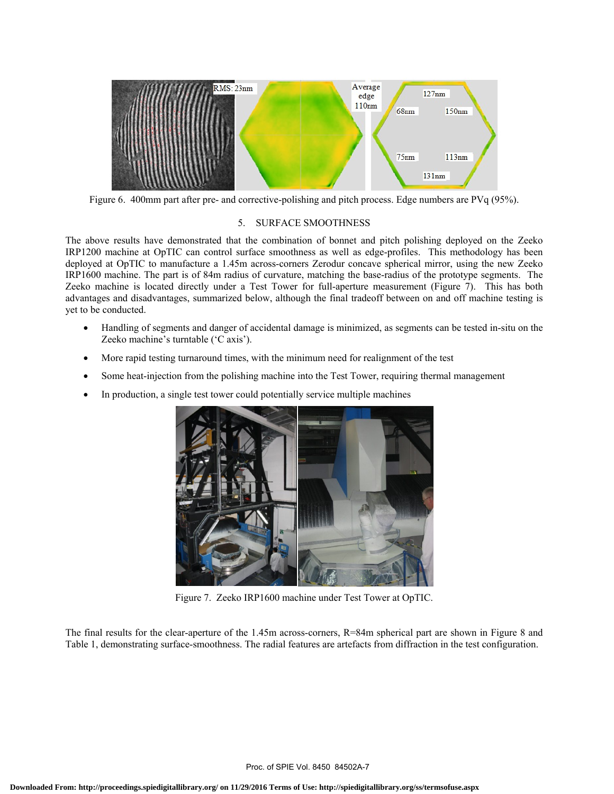

Figure 6. 400mm part after pre- and corrective-polishing and pitch process. Edge numbers are PVq (95%).

#### 5. SURFACE SMOOTHNESS

The above results have demonstrated that the combination of bonnet and pitch polishing deployed on the Zeeko IRP1200 machine at OpTIC can control surface smoothness as well as edge-profiles. This methodology has been deployed at OpTIC to manufacture a 1.45m across-corners Zerodur concave spherical mirror, using the new Zeeko IRP1600 machine. The part is of 84m radius of curvature, matching the base-radius of the prototype segments. The Zeeko machine is located directly under a Test Tower for full-aperture measurement (Figure 7). This has both advantages and disadvantages, summarized below, although the final tradeoff between on and off machine testing is yet to be conducted.

- Handling of segments and danger of accidental damage is minimized, as segments can be tested in-situ on the Zeeko machine's turntable ('C axis').
- More rapid testing turnaround times, with the minimum need for realignment of the test
- Some heat-injection from the polishing machine into the Test Tower, requiring thermal management
- In production, a single test tower could potentially service multiple machines



Figure 7. Zeeko IRP1600 machine under Test Tower at OpTIC.

The final results for the clear-aperture of the 1.45m across-corners, R=84m spherical part are shown in Figure 8 and Table 1, demonstrating surface-smoothness. The radial features are artefacts from diffraction in the test configuration.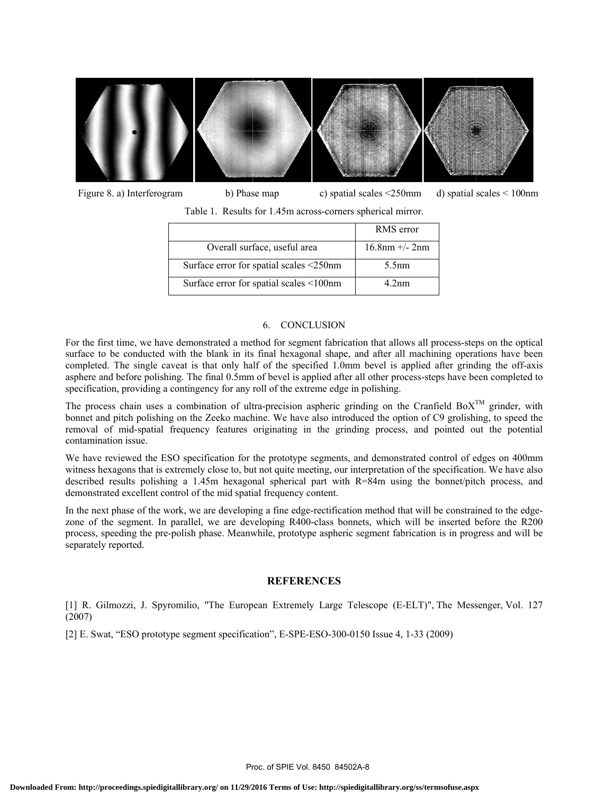

 Figure 8. a) Interferogram b) Phase map c) spatial scales <250mm d) spatial scales < 100nm Table 1. Results for 1.45m across-corners spherical mirror.

|                                         | RMS error            |
|-----------------------------------------|----------------------|
| Overall surface, useful area            | $16.8$ nm $+/- 2$ nm |
| Surface error for spatial scales <250nm | 5.5nm                |
| Surface error for spatial scales <100nm | 4.2 <sub>nm</sub>    |

#### 6. CONCLUSION

For the first time, we have demonstrated a method for segment fabrication that allows all process-steps on the optical surface to be conducted with the blank in its final hexagonal shape, and after all machining operations have been completed. The single caveat is that only half of the specified 1.0mm bevel is applied after grinding the off-axis asphere and before polishing. The final 0.5mm of bevel is applied after all other process-steps have been completed to specification, providing a contingency for any roll of the extreme edge in polishing.

The process chain uses a combination of ultra-precision aspheric grinding on the Cranfield Bo $X^{TM}$  grinder, with bonnet and pitch polishing on the Zeeko machine. We have also introduced the option of C9 grolishing, to speed the removal of mid-spatial frequency features originating in the grinding process, and pointed out the potential contamination issue.

We have reviewed the ESO specification for the prototype segments, and demonstrated control of edges on 400mm witness hexagons that is extremely close to, but not quite meeting, our interpretation of the specification. We have also described results polishing a 1.45m hexagonal spherical part with R=84m using the bonnet/pitch process, and demonstrated excellent control of the mid spatial frequency content.

In the next phase of the work, we are developing a fine edge-rectification method that will be constrained to the edgezone of the segment. In parallel, we are developing R400-class bonnets, which will be inserted before the R200 process, speeding the pre-polish phase. Meanwhile, prototype aspheric segment fabrication is in progress and will be separately reported.

#### **REFERENCES**

[1] R. Gilmozzi, J. Spyromilio, "The European Extremely Large Telescope (E-ELT)", The Messenger, Vol. 127 (2007)

[2] E. Swat, "ESO prototype segment specification", E-SPE-ESO-300-0150 Issue 4, 1-33 (2009)